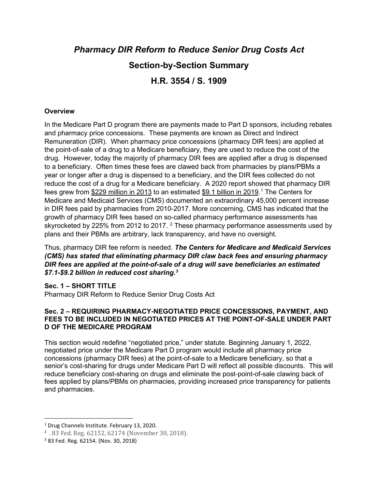# *Pharmacy DIR Reform to Reduce Senior Drug Costs Act* **Section-by-Section Summary H.R. 3554 / S. 1909**

### **Overview**

In the Medicare Part D program there are payments made to Part D sponsors, including rebates and pharmacy price concessions. These payments are known as Direct and Indirect Remuneration (DIR). When pharmacy price concessions (pharmacy DIR fees) are applied at the point-of-sale of a drug to a Medicare beneficiary, they are used to reduce the cost of the drug. However, today the majority of pharmacy DIR fees are applied after a drug is dispensed to a beneficiary. Often times these fees are clawed back from pharmacies by plans/PBMs a year or longer after a drug is dispensed to a beneficiary, and the DIR fees collected do not reduce the cost of a drug for a Medicare beneficiary. A 2020 report showed that pharmacy DIR fees grew from <u>\$229 million in 20[1](#page-0-0)3</u> to an estimated <u>\$9.1 billion in 2019</u>.<sup>1</sup> The Centers for Medicare and Medicaid Services (CMS) documented an extraordinary 45,000 percent increase in DIR fees paid by pharmacies from 2010-2017. More concerning, CMS has indicated that the growth of pharmacy DIR fees based on so-called pharmacy performance assessments has skyrocketed by [2](#page-0-1)25% from 2012 to 2017.  $2$  These pharmacy performance assessments used by plans and their PBMs are arbitrary, lack transparency, and have no oversight.

Thus, pharmacy DIR fee reform is needed. *The Centers for Medicare and Medicaid Services (CMS) has stated that eliminating pharmacy DIR claw back fees and ensuring pharmacy DIR fees are applied at the point-of-sale of a drug will save beneficiaries an estimated \$7.1-\$9.2 billion in reduced cost sharing. [3](#page-0-2)*

#### **Sec. 1 – SHORT TITLE**

Pharmacy DIR Reform to Reduce Senior Drug Costs Act

### **Sec. 2 – REQUIRING PHARMACY-NEGOTIATED PRICE CONCESSIONS, PAYMENT, AND FEES TO BE INCLUDED IN NEGOTIATED PRICES AT THE POINT-OF-SALE UNDER PART D OF THE MEDICARE PROGRAM**

This section would redefine "negotiated price," under statute. Beginning January 1, 2022, negotiated price under the Medicare Part D program would include all pharmacy price concessions (pharmacy DIR fees) at the point-of-sale to a Medicare beneficiary, so that a senior's cost-sharing for drugs under Medicare Part D will reflect all possible discounts. This will reduce beneficiary cost-sharing on drugs and eliminate the post-point-of-sale clawing back of fees applied by plans/PBMs on pharmacies, providing increased price transparency for patients and pharmacies.

<span id="page-0-1"></span><span id="page-0-0"></span><sup>&</sup>lt;sup>1</sup> Drug Channels Institute. February 13, 2020.<br>
<sup>2</sup> . 83 Fed. Reg. 62152, 62174 (November 30, 2018).<br>
<sup>3</sup> 83 Fed. Reg. 62154. (Nov. 30, 2018)

<span id="page-0-2"></span>